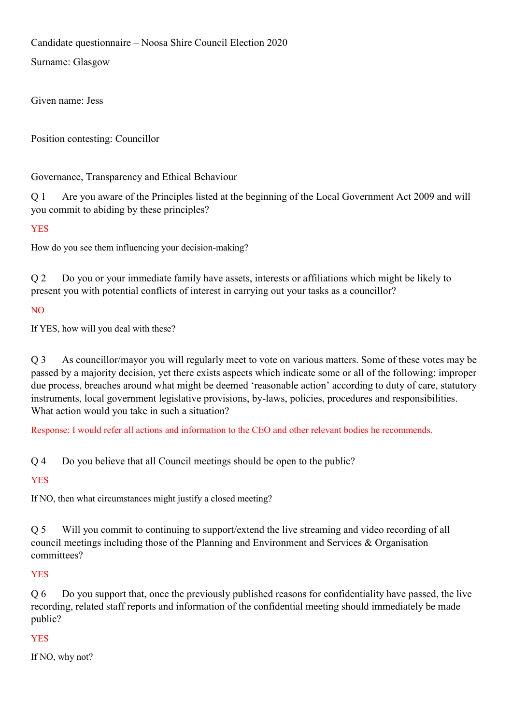Candidate questionnaire – Noosa Shire Council Election 2020

Surname: Glasgow

Given name: Jess

Position contesting: Councillor

Governance, Transparency and Ethical Behaviour

Q 1 Are you aware of the Principles listed at the beginning of the Local Government Act 2009 and will you commit to abiding by these principles?

## YES

How do you see them influencing your decision-making?

Q 2 Do you or your immediate family have assets, interests or affiliations which might be likely to present you with potential conflicts of interest in carrying out your tasks as a councillor?

## NO

If YES, how will you deal with these?

Q 3 As councillor/mayor you will regularly meet to vote on various matters. Some of these votes may be passed by a majority decision, yet there exists aspects which indicate some or all of the following: improper due process, breaches around what might be deemed 'reasonable action' according to duty of care, statutory instruments, local government legislative provisions, by-laws, policies, procedures and responsibilities. What action would you take in such a situation?

Response: I would refer all actions and information to the CEO and other relevant bodies he recommends.

Q 4 Do you believe that all Council meetings should be open to the public?

## YES

If NO, then what circumstances might justify a closed meeting?

Q 5 Will you commit to continuing to support/extend the live streaming and video recording of all council meetings including those of the Planning and Environment and Services & Organisation committees?

## YES

Q 6 Do you support that, once the previously published reasons for confidentiality have passed, the live recording, related staff reports and information of the confidential meeting should immediately be made public?

# **YES**

If NO, why not?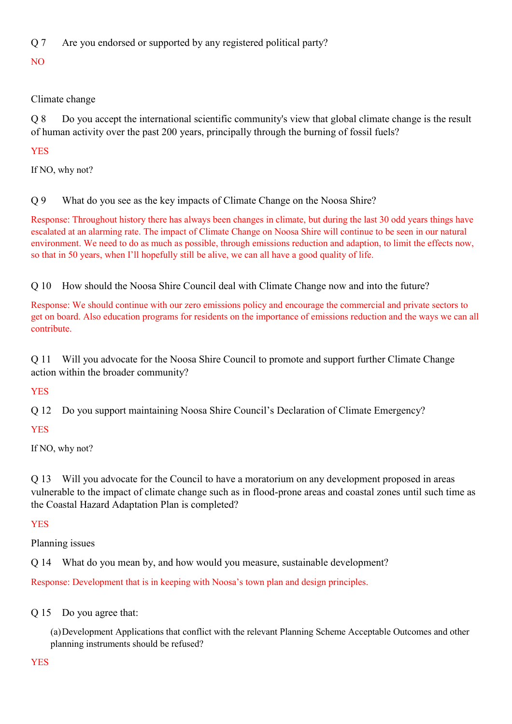Q 7 Are you endorsed or supported by any registered political party?

NO

# Climate change

Q 8 Do you accept the international scientific community's view that global climate change is the result of human activity over the past 200 years, principally through the burning of fossil fuels?

# **YES**

If NO, why not?

Q 9 What do you see as the key impacts of Climate Change on the Noosa Shire?

Response: Throughout history there has always been changes in climate, but during the last 30 odd years things have escalated at an alarming rate. The impact of Climate Change on Noosa Shire will continue to be seen in our natural environment. We need to do as much as possible, through emissions reduction and adaption, to limit the effects now, so that in 50 years, when I'll hopefully still be alive, we can all have a good quality of life.

Q 10 How should the Noosa Shire Council deal with Climate Change now and into the future?

Response: We should continue with our zero emissions policy and encourage the commercial and private sectors to get on board. Also education programs for residents on the importance of emissions reduction and the ways we can all contribute.

Q 11 Will you advocate for the Noosa Shire Council to promote and support further Climate Change action within the broader community?

# YES

Q 12 Do you support maintaining Noosa Shire Council's Declaration of Climate Emergency?

# **YES**

If NO, why not?

Q 13 Will you advocate for the Council to have a moratorium on any development proposed in areas vulnerable to the impact of climate change such as in flood-prone areas and coastal zones until such time as the Coastal Hazard Adaptation Plan is completed?

# **YES**

Planning issues

Q 14 What do you mean by, and how would you measure, sustainable development?

Response: Development that is in keeping with Noosa's town plan and design principles.

# Q 15 Do you agree that:

(a)Development Applications that conflict with the relevant Planning Scheme Acceptable Outcomes and other planning instruments should be refused?

# YES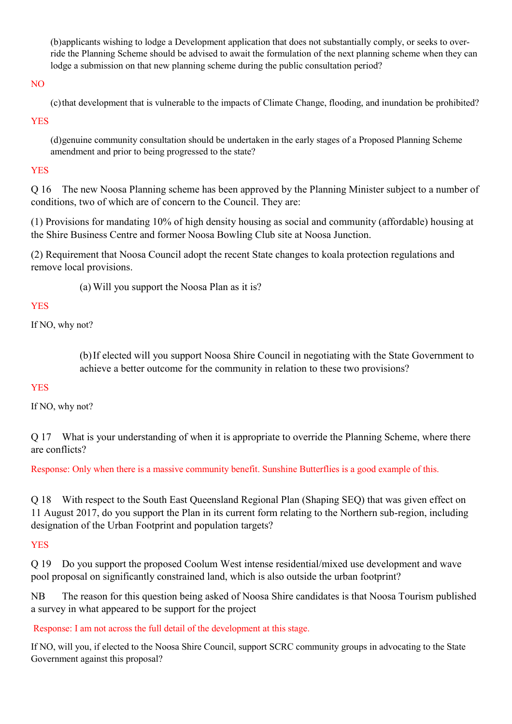(b)applicants wishing to lodge a Development application that does not substantially comply, or seeks to override the Planning Scheme should be advised to await the formulation of the next planning scheme when they can lodge a submission on that new planning scheme during the public consultation period?

NO

(c)that development that is vulnerable to the impacts of Climate Change, flooding, and inundation be prohibited?

YES

(d)genuine community consultation should be undertaken in the early stages of a Proposed Planning Scheme amendment and prior to being progressed to the state?

### YES

Q 16 The new Noosa Planning scheme has been approved by the Planning Minister subject to a number of conditions, two of which are of concern to the Council. They are:

(1) Provisions for mandating 10% of high density housing as social and community (affordable) housing at the Shire Business Centre and former Noosa Bowling Club site at Noosa Junction.

(2) Requirement that Noosa Council adopt the recent State changes to koala protection regulations and remove local provisions.

(a) Will you support the Noosa Plan as it is?

### YES

If NO, why not?

(b)If elected will you support Noosa Shire Council in negotiating with the State Government to achieve a better outcome for the community in relation to these two provisions?

### YES

If NO, why not?

Q 17 What is your understanding of when it is appropriate to override the Planning Scheme, where there are conflicts?

Response: Only when there is a massive community benefit. Sunshine Butterflies is a good example of this.

Q 18 With respect to the South East Queensland Regional Plan (Shaping SEQ) that was given effect on 11 August 2017, do you support the Plan in its current form relating to the Northern sub-region, including designation of the Urban Footprint and population targets?

## YES

Q 19 Do you support the proposed Coolum West intense residential/mixed use development and wave pool proposal on significantly constrained land, which is also outside the urban footprint?

NB The reason for this question being asked of Noosa Shire candidates is that Noosa Tourism published a survey in what appeared to be support for the project

Response: I am not across the full detail of the development at this stage.

If NO, will you, if elected to the Noosa Shire Council, support SCRC community groups in advocating to the State Government against this proposal?